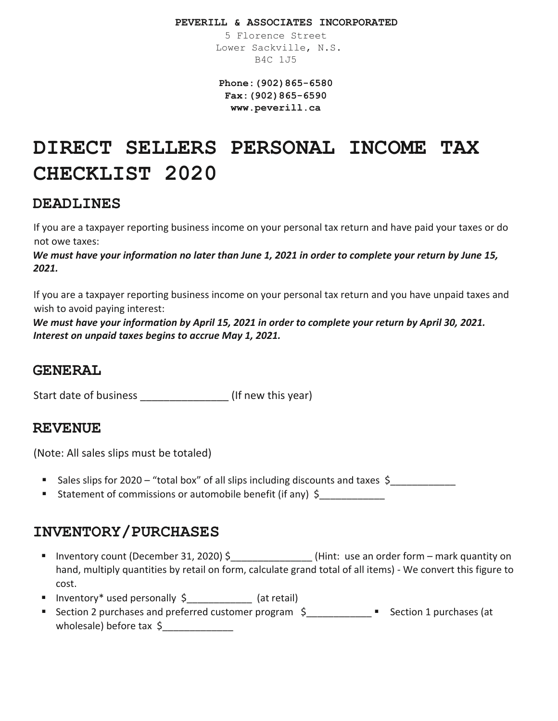#### **PEVERILL & ASSOCIATES INCORPORATED**

5 Florence Street Lower Sackville, N.S. B4C 1J5

**Phone:(902)865-6580 Fax:(902)865-6590 www.peverill.ca**

# **DIRECT SELLERS PERSONAL INCOME TAX CHECKLIST 2020**

### **DEADLINES**

If you are a taxpayer reporting business income on your personal tax return and have paid your taxes or do not owe taxes:

*We must have your information no later than June 1, 2021 in order to complete your return by June 15, 2021.*

If you are a taxpayer reporting business income on your personal tax return and you have unpaid taxes and wish to avoid paying interest:

*We must have your information by April 15, 2021 in order to complete your return by April 30, 2021. Interest on unpaid taxes begins to accrue May 1, 2021.*

### **GENERAL**

Start date of business  $\qquad \qquad$  (If new this year)

#### **REVENUE**

(Note: All sales slips must be totaled)

- Sales slips for 2020 "total box" of all slips including discounts and taxes \$
- Statement of commissions or automobile benefit (if any)  $\oint$

# **INVENTORY/PURCHASES**

- Inventory count (December 31, 2020) \$ (Hint: use an order form mark quantity on hand, multiply quantities by retail on form, calculate grand total of all items) - We convert this figure to cost.
- Inventory\* used personally \$ (at retail)
- Section 2 purchases and preferred customer program  $\zeta$  \_\_\_\_\_\_\_\_\_\_\_\_ " Section 1 purchases (at wholesale) before tax \$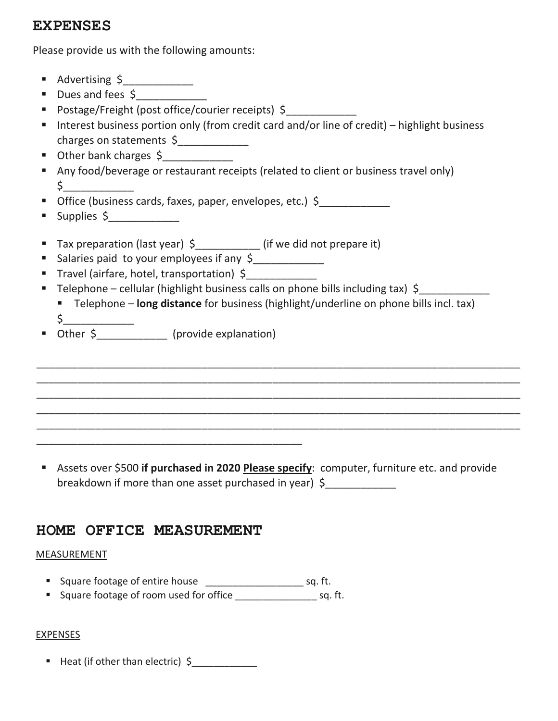### **EXPENSES**

Please provide us with the following amounts:

- Advertising \$\_\_\_\_\_\_\_\_\_\_\_\_
- Dues and fees \$
- Postage/Freight (post office/courier receipts) \$
- Interest business portion only (from credit card and/or line of credit) highlight business charges on statements \$
- Other bank charges \$
- Any food/beverage or restaurant receipts (related to client or business travel only)  $\mathsf{s}\_\_$
- Office (business cards, faxes, paper, envelopes, etc.) \$\_\_\_\_\_\_\_\_\_\_\_\_
- $\blacksquare$  Supplies  $\zeta$
- Tax preparation (last year) \$\_\_\_\_\_\_\_\_\_\_\_\_ (if we did not prepare it)
- Salaries paid to your employees if any \$
- Travel (airfare, hotel, transportation) \$
- Telephone cellular (highlight business calls on phone bills including tax) \$
	- Telephone **long distance** for business (highlight/underline on phone bills incl. tax) \$\_\_\_\_\_\_\_\_\_\_\_\_

\_\_\_\_\_\_\_\_\_\_\_\_\_\_\_\_\_\_\_\_\_\_\_\_\_\_\_\_\_\_\_\_\_\_\_\_\_\_\_\_\_\_\_\_\_\_\_\_\_\_\_\_\_\_\_\_\_\_\_\_\_\_\_\_\_\_\_\_\_\_\_\_\_\_\_\_\_\_\_\_\_\_ \_\_\_\_\_\_\_\_\_\_\_\_\_\_\_\_\_\_\_\_\_\_\_\_\_\_\_\_\_\_\_\_\_\_\_\_\_\_\_\_\_\_\_\_\_\_\_\_\_\_\_\_\_\_\_\_\_\_\_\_\_\_\_\_\_\_\_\_\_\_\_\_\_\_\_\_\_\_\_\_\_\_ \_\_\_\_\_\_\_\_\_\_\_\_\_\_\_\_\_\_\_\_\_\_\_\_\_\_\_\_\_\_\_\_\_\_\_\_\_\_\_\_\_\_\_\_\_\_\_\_\_\_\_\_\_\_\_\_\_\_\_\_\_\_\_\_\_\_\_\_\_\_\_\_\_\_\_\_\_\_\_\_\_\_ \_\_\_\_\_\_\_\_\_\_\_\_\_\_\_\_\_\_\_\_\_\_\_\_\_\_\_\_\_\_\_\_\_\_\_\_\_\_\_\_\_\_\_\_\_\_\_\_\_\_\_\_\_\_\_\_\_\_\_\_\_\_\_\_\_\_\_\_\_\_\_\_\_\_\_\_\_\_\_\_\_\_ \_\_\_\_\_\_\_\_\_\_\_\_\_\_\_\_\_\_\_\_\_\_\_\_\_\_\_\_\_\_\_\_\_\_\_\_\_\_\_\_\_\_\_\_\_\_\_\_\_\_\_\_\_\_\_\_\_\_\_\_\_\_\_\_\_\_\_\_\_\_\_\_\_\_\_\_\_\_\_\_\_\_

**DEFECTER SCHOOLS** (provide explanation)

\_\_\_\_\_\_\_\_\_\_\_\_\_\_\_\_\_\_\_\_\_\_\_\_\_\_\_\_\_\_\_\_\_\_\_\_\_\_\_\_\_\_\_\_\_

 Assets over \$500 **if purchased in 2020 Please specify**: computer, furniture etc. and provide breakdown if more than one asset purchased in year)  $\oint$ 

# **HOME OFFICE MEASUREMENT**

#### MEASUREMENT

- Square footage of entire house \_\_\_\_\_\_\_\_\_\_\_\_\_\_\_\_\_\_ sq. ft.
- Square footage of room used for office \_\_\_\_\_\_\_\_\_\_\_\_\_\_\_\_\_\_\_\_\_\_\_ sq. ft.

#### **EXPENSES**

Heat (if other than electric) \$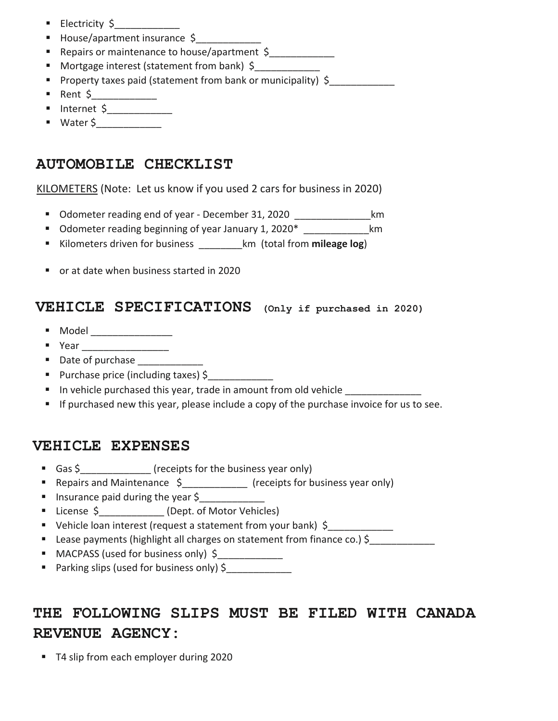- Electricity \$\_\_\_\_\_\_\_\_\_\_\_\_
- House/apartment insurance \$
- Repairs or maintenance to house/apartment \$
- Mortgage interest (statement from bank) \$
- Property taxes paid (statement from bank or municipality) \$
- Rent  $\zeta$
- $\blacksquare$  Internet \$
- Water \$\_\_\_\_\_\_\_\_\_\_\_\_

# **AUTOMOBILE CHECKLIST**

KILOMETERS (Note: Let us know if you used 2 cars for business in 2020)

- Odometer reading end of year December 31, 2020 **by all and the set of the set of the S**km
- Odometer reading beginning of year January 1, 2020<sup>\*</sup> \_\_\_\_\_\_\_\_\_\_\_\_\_\_\_\_\_\_km
- Kilometers driven for business **Kilometers** driven for business **Kilometers** driven business
- or at date when business started in 2020

## **VEHICLE SPECIFICATIONS (Only if purchased in 2020)**

- $\blacksquare$  Model \_\_\_\_\_\_\_\_\_\_\_\_\_\_\_\_\_
- Year **Demonstrate**
- **Date of purchase**
- Purchase price (including taxes) \$
- In vehicle purchased this year, trade in amount from old vehicle
- **If purchased new this year, please include a copy of the purchase invoice for us to see.**

# **VEHICLE EXPENSES**

- Gas \$ \_\_\_\_\_\_\_\_\_\_\_\_\_ (receipts for the business year only)
- Repairs and Maintenance \$ (receipts for business year only)
- **Insurance paid during the year \$**
- License \$ (Dept. of Motor Vehicles)
- Vehicle loan interest (request a statement from your bank) \$
- Lease payments (highlight all charges on statement from finance co.) \$
- MACPASS (used for business only) \$
- **Parking slips (used for business only)**  $\oint$

# **THE FOLLOWING SLIPS MUST BE FILED WITH CANADA REVENUE AGENCY:**

■ T4 slip from each employer during 2020